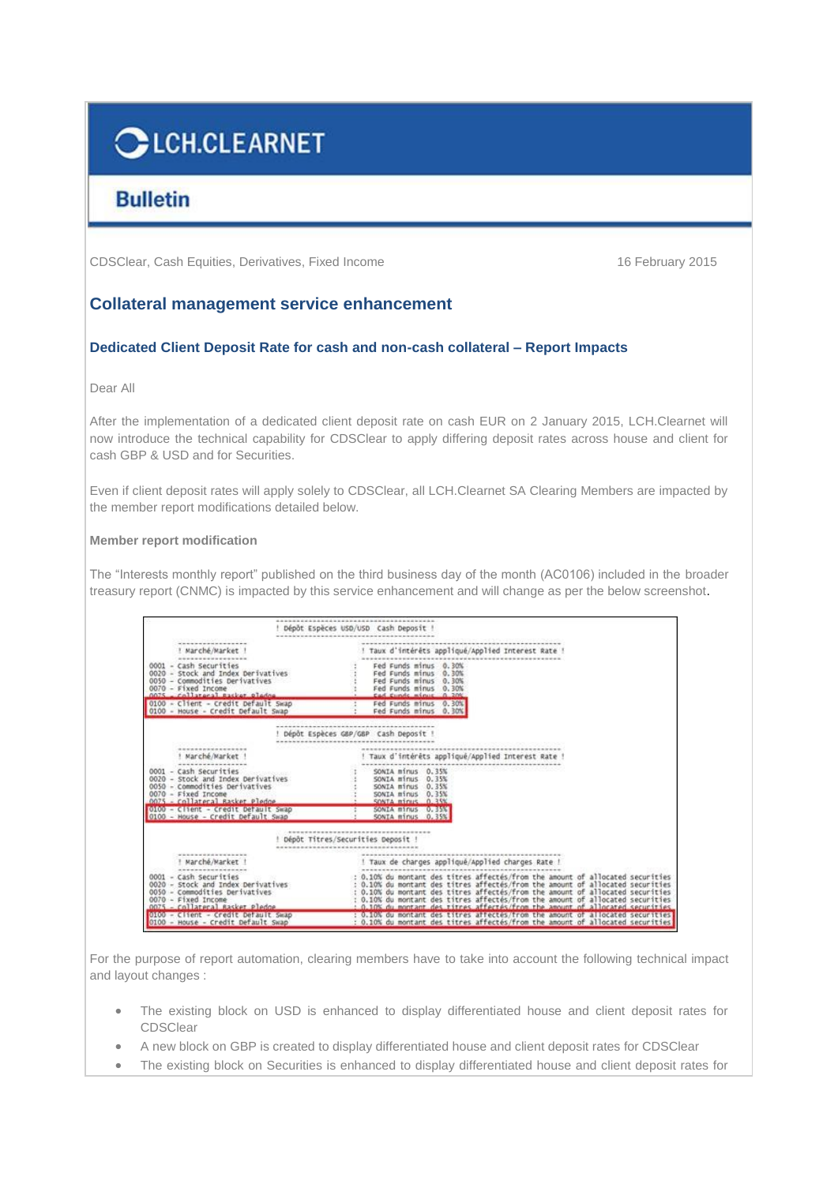# CLCH.CLEARNET

## **Bulletin**

CDSClear, Cash Equities, Derivatives, Fixed Income 16 February 2015

### **Collateral management service enhancement**

#### **Dedicated Client Deposit Rate for cash and non-cash collateral – Report Impacts**

Dear All

After the implementation of a dedicated client deposit rate on cash EUR on 2 January 2015, LCH.Clearnet will now introduce the technical capability for CDSClear to apply differing deposit rates across house and client for cash GBP & USD and for Securities.

Even if client deposit rates will apply solely to CDSClear, all LCH.Clearnet SA Clearing Members are impacted by the member report modifications detailed below.

#### **Member report modification**

The "Interests monthly report" published on the third business day of the month (AC0106) included in the broader treasury report (CNMC) is impacted by this service enhancement and will change as per the below screenshot.

|                                                                                                                                                                               | Dépôt Espèces USD/USD Cash Deposit                                                                                                                                                                                                                                                                                                                                                                                     |
|-------------------------------------------------------------------------------------------------------------------------------------------------------------------------------|------------------------------------------------------------------------------------------------------------------------------------------------------------------------------------------------------------------------------------------------------------------------------------------------------------------------------------------------------------------------------------------------------------------------|
| ! Marché/Market !<br>0001 - Cash Securities<br>0020 - Stock and Index Derivatives<br>0050 - Commodities Derivatives<br>0070 - Fixed Income<br>nots - cellateral pasket pladom | ! Taux d'intérêts appliqué/Applied Interest Rate !<br>Fed Funds minus 0.30%<br>: Fed Funds minus 0.30%<br>Fed Funds minus 0.30%<br>Fed Funds minus 0.30%<br>East Europe minus 0, 208                                                                                                                                                                                                                                   |
| 0100 - Client - Credit Default Swap<br>0100 - House - Credit Default Swap                                                                                                     | Fed Funds minus 0.30%<br>Fed Funds minus 0.30%                                                                                                                                                                                                                                                                                                                                                                         |
|                                                                                                                                                                               | Dépôt Espèces GBP/GBP Cash Deposit !                                                                                                                                                                                                                                                                                                                                                                                   |
| ! Marché/Market !                                                                                                                                                             | ! Taux d'intérêts appliqué/Applied Interest Rate !                                                                                                                                                                                                                                                                                                                                                                     |
| 0001 - Cash Securities                                                                                                                                                        | SONIA minus 0.35%                                                                                                                                                                                                                                                                                                                                                                                                      |
| 0020 - Stock and Index Derivatives                                                                                                                                            | SONIA minus 0.35%                                                                                                                                                                                                                                                                                                                                                                                                      |
| 0050 - Commodities Derivatives<br>$0070 -$ Fixed Income                                                                                                                       | SONIA minus 0.35%                                                                                                                                                                                                                                                                                                                                                                                                      |
| 0075 - Collateral Rasket Pledge                                                                                                                                               | SONTA minus 0.35%                                                                                                                                                                                                                                                                                                                                                                                                      |
| 0100 - Client - Credit Default Swap<br>0100 - House - Credit Default Swap                                                                                                     | SONIA minus 0.35%<br>SONIA minus 0.35%                                                                                                                                                                                                                                                                                                                                                                                 |
|                                                                                                                                                                               | Dépôt Titres/Securities Deposit !                                                                                                                                                                                                                                                                                                                                                                                      |
| ! Marché/Market !                                                                                                                                                             | ! Taux de charges appliqué/Applied charges Rate !                                                                                                                                                                                                                                                                                                                                                                      |
| 0001 - Cash Securities<br>0020 - Stock and Index Derivatives<br>0050 - Commodities Derivatives<br>- Fixed Income<br>0070<br>- Collateral Rasket Pledge                        | : 0.10% du montant des titres affectés/from the amount of allocated securities<br>: 0.10% du montant des titres affectés/from the amount of allocated securities<br>: 0.10% du montant des titres affectés/from the amount of allocated securities<br>: 0.10% du montant des titres affectés/from the amount of allocated securities<br>: 0.10% du montant des titres affectés/from the amount of allocated securities |
| $0100 -$ Client - Credit Default Swap                                                                                                                                         | : 0.10% du montant des titres affectes/from the amount of allocated securities                                                                                                                                                                                                                                                                                                                                         |
| 0100 - House - Credit Default Swap                                                                                                                                            | : 0.10% du montant des titres affectés/from the amount of allocated securities                                                                                                                                                                                                                                                                                                                                         |

For the purpose of report automation, clearing members have to take into account the following technical impact and layout changes :

- The existing block on USD is enhanced to display differentiated house and client deposit rates for CDSClear
- A new block on GBP is created to display differentiated house and client deposit rates for CDSClear
- The existing block on Securities is enhanced to display differentiated house and client deposit rates for